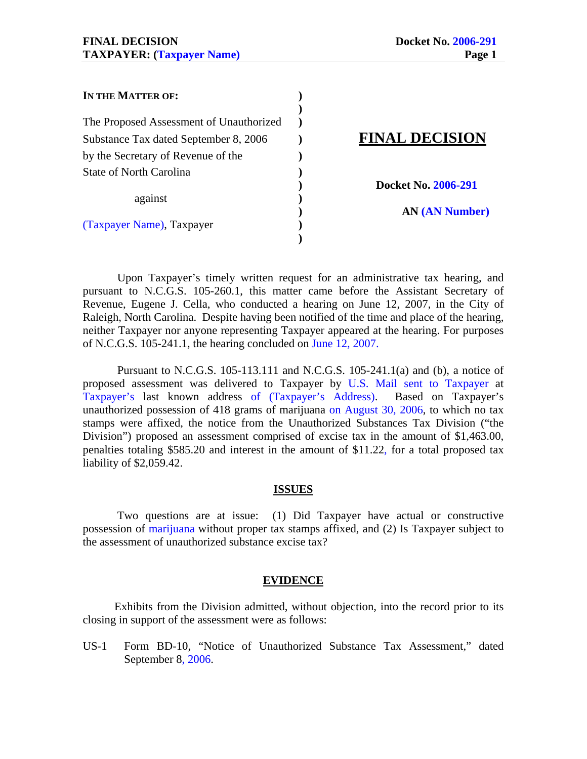| IN THE MATTER OF:                       |                       |
|-----------------------------------------|-----------------------|
|                                         |                       |
| The Proposed Assessment of Unauthorized |                       |
| Substance Tax dated September 8, 2006   | <b>FINAL DECISION</b> |
| by the Secretary of Revenue of the      |                       |
| State of North Carolina                 |                       |
|                                         | Docket No. 2006-291   |
| against                                 |                       |
|                                         | <b>AN (AN Number)</b> |
| (Taxpayer Name), Taxpayer               |                       |
|                                         |                       |

 Upon Taxpayer's timely written request for an administrative tax hearing, and pursuant to N.C.G.S. 105-260.1, this matter came before the Assistant Secretary of Revenue, Eugene J. Cella, who conducted a hearing on June 12, 2007, in the City of Raleigh, North Carolina. Despite having been notified of the time and place of the hearing, neither Taxpayer nor anyone representing Taxpayer appeared at the hearing. For purposes of N.C.G.S. 105-241.1, the hearing concluded on June 12, 2007.

 Pursuant to N.C.G.S. 105-113.111 and N.C.G.S. 105-241.1(a) and (b), a notice of proposed assessment was delivered to Taxpayer by U.S. Mail sent to Taxpayer at Taxpayer's last known address of (Taxpayer's Address). Based on Taxpayer's unauthorized possession of 418 grams of marijuana on August 30, 2006, to which no tax stamps were affixed, the notice from the Unauthorized Substances Tax Division ("the Division") proposed an assessment comprised of excise tax in the amount of \$1,463.00, penalties totaling \$585.20 and interest in the amount of \$11.22, for a total proposed tax liability of \$2,059.42.

### **ISSUES**

 Two questions are at issue: (1) Did Taxpayer have actual or constructive possession of marijuana without proper tax stamps affixed, and (2) Is Taxpayer subject to the assessment of unauthorized substance excise tax?

### **EVIDENCE**

 Exhibits from the Division admitted, without objection, into the record prior to its closing in support of the assessment were as follows:

US-1 Form BD-10, "Notice of Unauthorized Substance Tax Assessment," dated September 8, 2006.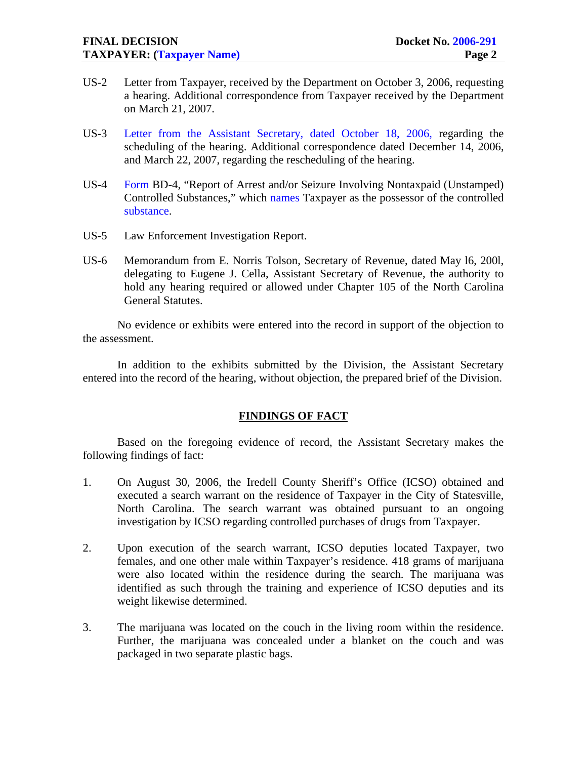- US-2 Letter from Taxpayer, received by the Department on October 3, 2006, requesting a hearing. Additional correspondence from Taxpayer received by the Department on March 21, 2007.
- US-3 Letter from the Assistant Secretary, dated October 18, 2006, regarding the scheduling of the hearing. Additional correspondence dated December 14, 2006, and March 22, 2007, regarding the rescheduling of the hearing.
- US-4 Form BD-4, "Report of Arrest and/or Seizure Involving Nontaxpaid (Unstamped) Controlled Substances," which names Taxpayer as the possessor of the controlled substance.
- US-5 Law Enforcement Investigation Report.
- US-6 Memorandum from E. Norris Tolson, Secretary of Revenue, dated May l6, 200l, delegating to Eugene J. Cella, Assistant Secretary of Revenue, the authority to hold any hearing required or allowed under Chapter 105 of the North Carolina General Statutes.

No evidence or exhibits were entered into the record in support of the objection to the assessment.

 In addition to the exhibits submitted by the Division, the Assistant Secretary entered into the record of the hearing, without objection, the prepared brief of the Division.

### **FINDINGS OF FACT**

Based on the foregoing evidence of record, the Assistant Secretary makes the following findings of fact:

- 1. On August 30, 2006, the Iredell County Sheriff's Office (ICSO) obtained and executed a search warrant on the residence of Taxpayer in the City of Statesville, North Carolina. The search warrant was obtained pursuant to an ongoing investigation by ICSO regarding controlled purchases of drugs from Taxpayer.
- 2. Upon execution of the search warrant, ICSO deputies located Taxpayer, two females, and one other male within Taxpayer's residence. 418 grams of marijuana were also located within the residence during the search. The marijuana was identified as such through the training and experience of ICSO deputies and its weight likewise determined.
- 3. The marijuana was located on the couch in the living room within the residence. Further, the marijuana was concealed under a blanket on the couch and was packaged in two separate plastic bags.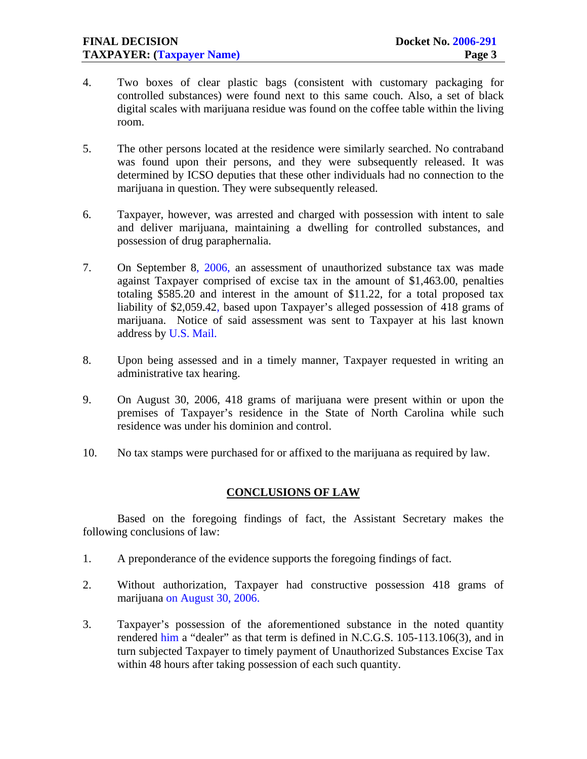- 4. Two boxes of clear plastic bags (consistent with customary packaging for controlled substances) were found next to this same couch. Also, a set of black digital scales with marijuana residue was found on the coffee table within the living room.
- 5. The other persons located at the residence were similarly searched. No contraband was found upon their persons, and they were subsequently released. It was determined by ICSO deputies that these other individuals had no connection to the marijuana in question. They were subsequently released.
- 6. Taxpayer, however, was arrested and charged with possession with intent to sale and deliver marijuana, maintaining a dwelling for controlled substances, and possession of drug paraphernalia.
- 7. On September 8, 2006, an assessment of unauthorized substance tax was made against Taxpayer comprised of excise tax in the amount of \$1,463.00, penalties totaling \$585.20 and interest in the amount of \$11.22, for a total proposed tax liability of \$2,059.42, based upon Taxpayer's alleged possession of 418 grams of marijuana. Notice of said assessment was sent to Taxpayer at his last known address by U.S. Mail.
- 8. Upon being assessed and in a timely manner, Taxpayer requested in writing an administrative tax hearing.
- 9. On August 30, 2006, 418 grams of marijuana were present within or upon the premises of Taxpayer's residence in the State of North Carolina while such residence was under his dominion and control.
- 10. No tax stamps were purchased for or affixed to the marijuana as required by law.

## **CONCLUSIONS OF LAW**

 Based on the foregoing findings of fact, the Assistant Secretary makes the following conclusions of law:

- 1. A preponderance of the evidence supports the foregoing findings of fact.
- 2. Without authorization, Taxpayer had constructive possession 418 grams of marijuana on August 30, 2006.
- 3. Taxpayer's possession of the aforementioned substance in the noted quantity rendered him a "dealer" as that term is defined in N.C.G.S. 105-113.106(3), and in turn subjected Taxpayer to timely payment of Unauthorized Substances Excise Tax within 48 hours after taking possession of each such quantity.